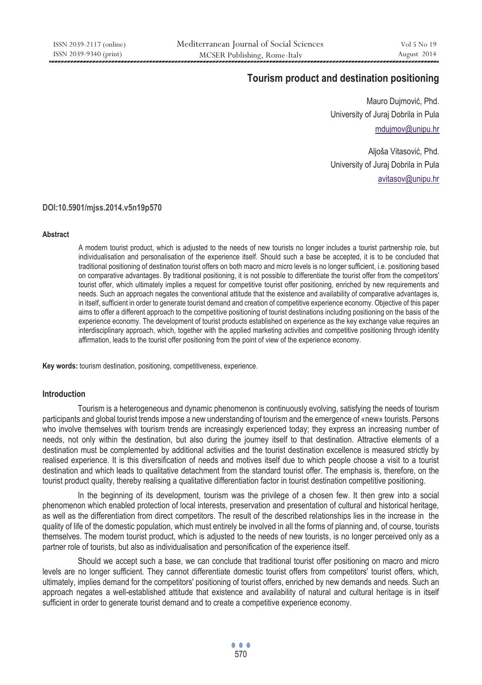# **Tourism product and destination positioning**

Mauro Dujmović, Phd. University of Juraj Dobrila in Pula mdujmov@unipu.hr

Aljoša Vitasović, Phd. University of Juraj Dobrila in Pula avitasov@unipu.hr

#### **DOI:10.5901/mjss.2014.v5n19p570**

#### **Abstract**

A modern tourist product, which is adjusted to the needs of new tourists no longer includes a tourist partnership role, but individualisation and personalisation of the experience itself. Should such a base be accepted, it is to be concluded that traditional positioning of destination tourist offers on both macro and micro levels is no longer sufficient, i.e. positioning based on comparative advantages. By traditional positioning, it is not possible to differentiate the tourist offer from the competitors' tourist offer, which ultimately implies a request for competitive tourist offer positioning, enriched by new requirements and needs. Such an approach negates the conventional attitude that the existence and availability of comparative advantages is, in itself, sufficient in order to generate tourist demand and creation of competitive experience economy. Objective of this paper aims to offer a different approach to the competitive positioning of tourist destinations including positioning on the basis of the experience economy. The development of tourist products established on experience as the key exchange value requires an interdisciplinary approach, which, together with the applied marketing activities and competitive positioning through identity affirmation, leads to the tourist offer positioning from the point of view of the experience economy.

**Key words:** tourism destination, positioning, competitiveness, experience.

#### **Introduction**

Tourism is a heterogeneous and dynamic phenomenon is continuously evolving, satisfying the needs of tourism participants and global tourist trends impose a new understanding of tourism and the emergence of «new» tourists. Persons who involve themselves with tourism trends are increasingly experienced today; they express an increasing number of needs, not only within the destination, but also during the journey itself to that destination. Attractive elements of a destination must be complemented by additional activities and the tourist destination excellence is measured strictly by realised experience. It is this diversification of needs and motives itself due to which people choose a visit to a tourist destination and which leads to qualitative detachment from the standard tourist offer. The emphasis is, therefore, on the tourist product quality, thereby realising a qualitative differentiation factor in tourist destination competitive positioning.

In the beginning of its development, tourism was the privilege of a chosen few. It then grew into a social phenomenon which enabled protection of local interests, preservation and presentation of cultural and historical heritage, as well as the differentiation from direct competitors. The result of the described relationships lies in the increase in the quality of life of the domestic population, which must entirely be involved in all the forms of planning and, of course, tourists themselves. The modern tourist product, which is adjusted to the needs of new tourists, is no longer perceived only as a partner role of tourists, but also as individualisation and personification of the experience itself.

Should we accept such a base, we can conclude that traditional tourist offer positioning on macro and micro levels are no longer sufficient. They cannot differentiate domestic tourist offers from competitors' tourist offers, which, ultimately, implies demand for the competitors' positioning of tourist offers, enriched by new demands and needs. Such an approach negates a well-established attitude that existence and availability of natural and cultural heritage is in itself sufficient in order to generate tourist demand and to create a competitive experience economy.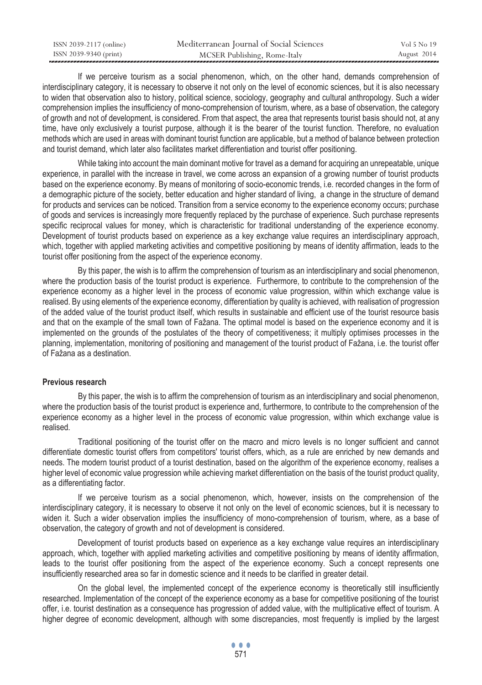| ISSN 2039-2117 (online) | Mediterranean Journal of Social Sciences | Vol. 5 No. 19 |
|-------------------------|------------------------------------------|---------------|
| ISSN 2039-9340 (print)  | MCSER Publishing, Rome-Italy             | August 2014   |

If we perceive tourism as a social phenomenon, which, on the other hand, demands comprehension of interdisciplinary category, it is necessary to observe it not only on the level of economic sciences, but it is also necessary to widen that observation also to history, political science, sociology, geography and cultural anthropology. Such a wider comprehension implies the insufficiency of mono-comprehension of tourism, where, as a base of observation, the category of growth and not of development, is considered. From that aspect, the area that represents tourist basis should not, at any time, have only exclusively a tourist purpose, although it is the bearer of the tourist function. Therefore, no evaluation methods which are used in areas with dominant tourist function are applicable, but a method of balance between protection and tourist demand, which later also facilitates market differentiation and tourist offer positioning.

While taking into account the main dominant motive for travel as a demand for acquiring an unrepeatable, unique experience, in parallel with the increase in travel, we come across an expansion of a growing number of tourist products based on the experience economy. By means of monitoring of socio-economic trends, i.e. recorded changes in the form of a demographic picture of the society, better education and higher standard of living, a change in the structure of demand for products and services can be noticed. Transition from a service economy to the experience economy occurs; purchase of goods and services is increasingly more frequently replaced by the purchase of experience. Such purchase represents specific reciprocal values for money, which is characteristic for traditional understanding of the experience economy. Development of tourist products based on experience as a key exchange value requires an interdisciplinary approach, which, together with applied marketing activities and competitive positioning by means of identity affirmation, leads to the tourist offer positioning from the aspect of the experience economy.

By this paper, the wish is to affirm the comprehension of tourism as an interdisciplinary and social phenomenon, where the production basis of the tourist product is experience. Furthermore, to contribute to the comprehension of the experience economy as a higher level in the process of economic value progression, within which exchange value is realised. By using elements of the experience economy, differentiation by quality is achieved, with realisation of progression of the added value of the tourist product itself, which results in sustainable and efficient use of the tourist resource basis and that on the example of the small town of Fažana. The optimal model is based on the experience economy and it is implemented on the grounds of the postulates of the theory of competitiveness; it multiply optimises processes in the planning, implementation, monitoring of positioning and management of the tourist product of Fažana, i.e. the tourist offer of Fažana as a destination.

#### **Previous research**

By this paper, the wish is to affirm the comprehension of tourism as an interdisciplinary and social phenomenon, where the production basis of the tourist product is experience and, furthermore, to contribute to the comprehension of the experience economy as a higher level in the process of economic value progression, within which exchange value is realised.

Traditional positioning of the tourist offer on the macro and micro levels is no longer sufficient and cannot differentiate domestic tourist offers from competitors' tourist offers, which, as a rule are enriched by new demands and needs. The modern tourist product of a tourist destination, based on the algorithm of the experience economy, realises a higher level of economic value progression while achieving market differentiation on the basis of the tourist product quality, as a differentiating factor.

If we perceive tourism as a social phenomenon, which, however, insists on the comprehension of the interdisciplinary category, it is necessary to observe it not only on the level of economic sciences, but it is necessary to widen it. Such a wider observation implies the insufficiency of mono-comprehension of tourism, where, as a base of observation, the category of growth and not of development is considered.

Development of tourist products based on experience as a key exchange value requires an interdisciplinary approach, which, together with applied marketing activities and competitive positioning by means of identity affirmation, leads to the tourist offer positioning from the aspect of the experience economy. Such a concept represents one insufficiently researched area so far in domestic science and it needs to be clarified in greater detail.

On the global level, the implemented concept of the experience economy is theoretically still insufficiently researched. Implementation of the concept of the experience economy as a base for competitive positioning of the tourist offer, i.e. tourist destination as a consequence has progression of added value, with the multiplicative effect of tourism. A higher degree of economic development, although with some discrepancies, most frequently is implied by the largest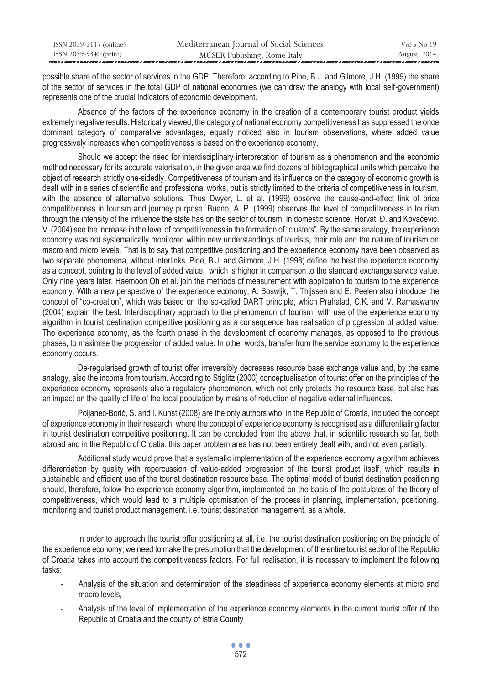| ISSN 2039-2117 (online) | Mediterranean Journal of Social Sciences | Vol 5 No 19 |
|-------------------------|------------------------------------------|-------------|
| ISSN 2039-9340 (print)  | MCSER Publishing, Rome-Italy             | August 2014 |
|                         |                                          |             |

possible share of the sector of services in the GDP. Therefore, according to Pine, B.J. and Gilmore, J.H. (1999) the share of the sector of services in the total GDP of national economies (we can draw the analogy with local self-government) represents one of the crucial indicators of economic development.

Absence of the factors of the experience economy in the creation of a contemporary tourist product yields extremely negative results. Historically viewed, the category of national economy competitiveness has suppressed the once dominant category of comparative advantages, equally noticed also in tourism observations, where added value progressively increases when competitiveness is based on the experience economy.

Should we accept the need for interdisciplinary interpretation of tourism as a phenomenon and the economic method necessary for its accurate valorisation, in the given area we find dozens of bibliographical units which perceive the object of research strictly one-sidedly. Competitiveness of tourism and its influence on the category of economic growth is dealt with in a series of scientific and professional works, but is strictly limited to the criteria of competitiveness in tourism, with the absence of alternative solutions. Thus Dwyer, L. et al. (1999) observe the cause-and-effect link of price competitiveness in tourism and journey purpose. Bueno, A. P. (1999) observes the level of competitiveness in tourism through the intensity of the influence the state has on the sector of tourism. In domestic science, Horvat, Đ. and Kovačević, V. (2004) see the increase in the level of competitiveness in the formation of "clusters". By the same analogy, the experience economy was not systematically monitored within new understandings of tourists, their role and the nature of tourism on macro and micro levels. That is to say that competitive positioning and the experience economy have been observed as two separate phenomena, without interlinks. Pine, B.J. and Gilmore, J.H. (1998) define the best the experience economy as a concept, pointing to the level of added value, which is higher in comparison to the standard exchange service value. Only nine years later, Haemoon Oh et al. join the methods of measurement with application to tourism to the experience economy. With a new perspective of the experience economy, A. Boswijk, T. Thijssen and E. Peelen also introduce the concept of "co-creation", which was based on the so-called DART principle, which Prahalad, C.K. and V. Ramaswamy (2004) explain the best. Interdisciplinary approach to the phenomenon of tourism, with use of the experience economy algorithm in tourist destination competitive positioning as a consequence has realisation of progression of added value. The experience economy, as the fourth phase in the development of economy manages, as opposed to the previous phases, to maximise the progression of added value. In other words, transfer from the service economy to the experience economy occurs.

De-regularised growth of tourist offer irreversibly decreases resource base exchange value and, by the same analogy, also the income from tourism. According to Stiglitz (2000) conceptualisation of tourist offer on the principles of the experience economy represents also a regulatory phenomenon, which not only protects the resource base, but also has an impact on the quality of life of the local population by means of reduction of negative external influences.

Poljanec-Borić, S. and I. Kunst (2008) are the only authors who, in the Republic of Croatia, included the concept of experience economy in their research, where the concept of experience economy is recognised as a differentiating factor in tourist destination competitive positioning. It can be concluded from the above that, in scientific research so far, both abroad and in the Republic of Croatia, this paper problem area has not been entirely dealt with, and not even partially.

Additional study would prove that a systematic implementation of the experience economy algorithm achieves differentiation by quality with repercussion of value-added progression of the tourist product itself, which results in sustainable and efficient use of the tourist destination resource base. The optimal model of tourist destination positioning should, therefore, follow the experience economy algorithm, implemented on the basis of the postulates of the theory of competitiveness, which would lead to a multiple optimisation of the process in planning, implementation, positioning, monitoring and tourist product management, i.e. tourist destination management, as a whole.

In order to approach the tourist offer positioning at all, i.e. the tourist destination positioning on the principle of the experience economy, we need to make the presumption that the development of the entire tourist sector of the Republic of Croatia takes into account the competitiveness factors. For full realisation, it is necessary to implement the following tasks:

- Analysis of the situation and determination of the steadiness of experience economy elements at micro and macro levels,
- Analysis of the level of implementation of the experience economy elements in the current tourist offer of the Republic of Croatia and the county of Istria County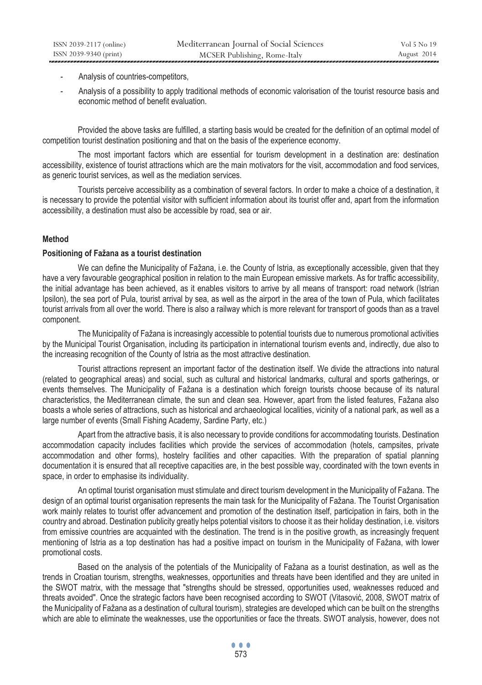- Analysis of countries-competitors,
- Analysis of a possibility to apply traditional methods of economic valorisation of the tourist resource basis and economic method of benefit evaluation.

Provided the above tasks are fulfilled, a starting basis would be created for the definition of an optimal model of competition tourist destination positioning and that on the basis of the experience economy.

The most important factors which are essential for tourism development in a destination are: destination accessibility, existence of tourist attractions which are the main motivators for the visit, accommodation and food services, as generic tourist services, as well as the mediation services.

Tourists perceive accessibility as a combination of several factors. In order to make a choice of a destination, it is necessary to provide the potential visitor with sufficient information about its tourist offer and, apart from the information accessibility, a destination must also be accessible by road, sea or air.

### **Method**

#### **Positioning of Fažana as a tourist destination**

We can define the Municipality of Fažana, i.e. the County of Istria, as exceptionally accessible, given that they have a very favourable geographical position in relation to the main European emissive markets. As for traffic accessibility, the initial advantage has been achieved, as it enables visitors to arrive by all means of transport: road network (Istrian Ipsilon), the sea port of Pula, tourist arrival by sea, as well as the airport in the area of the town of Pula, which facilitates tourist arrivals from all over the world. There is also a railway which is more relevant for transport of goods than as a travel component.

The Municipality of Fažana is increasingly accessible to potential tourists due to numerous promotional activities by the Municipal Tourist Organisation, including its participation in international tourism events and, indirectly, due also to the increasing recognition of the County of Istria as the most attractive destination.

Tourist attractions represent an important factor of the destination itself. We divide the attractions into natural (related to geographical areas) and social, such as cultural and historical landmarks, cultural and sports gatherings, or events themselves. The Municipality of Fažana is a destination which foreign tourists choose because of its natural characteristics, the Mediterranean climate, the sun and clean sea. However, apart from the listed features, Fažana also boasts a whole series of attractions, such as historical and archaeological localities, vicinity of a national park, as well as a large number of events (Small Fishing Academy, Sardine Party, etc.)

Apart from the attractive basis, it is also necessary to provide conditions for accommodating tourists. Destination accommodation capacity includes facilities which provide the services of accommodation (hotels, campsites, private accommodation and other forms), hostelry facilities and other capacities. With the preparation of spatial planning documentation it is ensured that all receptive capacities are, in the best possible way, coordinated with the town events in space, in order to emphasise its individuality.

An optimal tourist organisation must stimulate and direct tourism development in the Municipality of Fažana. The design of an optimal tourist organisation represents the main task for the Municipality of Fažana. The Tourist Organisation work mainly relates to tourist offer advancement and promotion of the destination itself, participation in fairs, both in the country and abroad. Destination publicity greatly helps potential visitors to choose it as their holiday destination, i.e. visitors from emissive countries are acquainted with the destination. The trend is in the positive growth, as increasingly frequent mentioning of Istria as a top destination has had a positive impact on tourism in the Municipality of Fažana, with lower promotional costs.

Based on the analysis of the potentials of the Municipality of Fažana as a tourist destination, as well as the trends in Croatian tourism, strengths, weaknesses, opportunities and threats have been identified and they are united in the SWOT matrix, with the message that "strengths should be stressed, opportunities used, weaknesses reduced and threats avoided". Once the strategic factors have been recognised according to SWOT (Vitasović, 2008, SWOT matrix of the Municipality of Fažana as a destination of cultural tourism), strategies are developed which can be built on the strengths which are able to eliminate the weaknesses, use the opportunities or face the threats. SWOT analysis, however, does not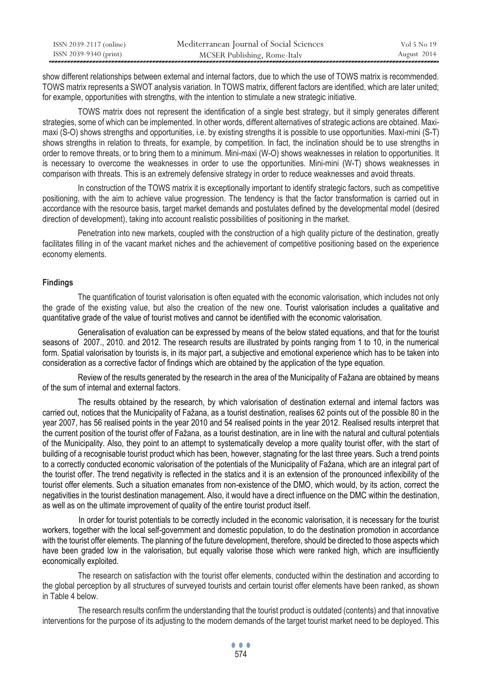| ISSN 2039-2117 (online) | Mediterranean Journal of Social Sciences | Vol 5 No 19 |
|-------------------------|------------------------------------------|-------------|
| ISSN 2039-9340 (print)  | MCSER Publishing, Rome-Italy             | August 2014 |

show different relationships between external and internal factors, due to which the use of TOWS matrix is recommended. TOWS matrix represents a SWOT analysis variation. In TOWS matrix, different factors are identified, which are later united; for example, opportunities with strengths, with the intention to stimulate a new strategic initiative.

TOWS matrix does not represent the identification of a single best strategy, but it simply generates different strategies, some of which can be implemented. In other words, different alternatives of strategic actions are obtained. Maximaxi (S-O) shows strengths and opportunities, i.e. by existing strengths it is possible to use opportunities. Maxi-mini (S-T) shows strengths in relation to threats, for example, by competition. In fact, the inclination should be to use strengths in order to remove threats, or to bring them to a minimum. Mini-maxi (W-O) shows weaknesses in relation to opportunities. It is necessary to overcome the weaknesses in order to use the opportunities. Mini-mini (W-T) shows weaknesses in comparison with threats. This is an extremely defensive strategy in order to reduce weaknesses and avoid threats.

In construction of the TOWS matrix it is exceptionally important to identify strategic factors, such as competitive positioning, with the aim to achieve value progression. The tendency is that the factor transformation is carried out in accordance with the resource basis, target market demands and postulates defined by the developmental model (desired direction of development), taking into account realistic possibilities of positioning in the market.

Penetration into new markets, coupled with the construction of a high quality picture of the destination, greatly facilitates filling in of the vacant market niches and the achievement of competitive positioning based on the experience economy elements.

### **Findings**

The quantification of tourist valorisation is often equated with the economic valorisation, which includes not only the grade of the existing value, but also the creation of the new one. Tourist valorisation includes a qualitative and quantitative grade of the value of tourist motives and cannot be identified with the economic valorisation.

Generalisation of evaluation can be expressed by means of the below stated equations, and that for the tourist seasons of 2007., 2010. and 2012. The research results are illustrated by points ranging from 1 to 10, in the numerical form. Spatial valorisation by tourists is, in its major part, a subjective and emotional experience which has to be taken into consideration as a corrective factor of findings which are obtained by the application of the type equation.

Review of the results generated by the research in the area of the Municipality of Fažana are obtained by means of the sum of internal and external factors.

The results obtained by the research, by which valorisation of destination external and internal factors was carried out, notices that the Municipality of Fažana, as a tourist destination, realises 62 points out of the possible 80 in the year 2007, has 56 realised points in the year 2010 and 54 realised points in the year 2012. Realised results interpret that the current position of the tourist offer of Fažana, as a tourist destination, are in line with the natural and cultural potentials of the Municipality. Also, they point to an attempt to systematically develop a more quality tourist offer, with the start of building of a recognisable tourist product which has been, however, stagnating for the last three years. Such a trend points to a correctly conducted economic valorisation of the potentials of the Municipality of Fažana, which are an integral part of the tourist offer. The trend negativity is reflected in the statics and it is an extension of the pronounced inflexibility of the tourist offer elements. Such a situation emanates from non-existence of the DMO, which would, by its action, correct the negativities in the tourist destination management. Also, it would have a direct influence on the DMC within the destination, as well as on the ultimate improvement of quality of the entire tourist product itself.

 In order for tourist potentials to be correctly included in the economic valorisation, it is necessary for the tourist workers, together with the local self-government and domestic population, to do the destination promotion in accordance with the tourist offer elements. The planning of the future development, therefore, should be directed to those aspects which have been graded low in the valorisation, but equally valorise those which were ranked high, which are insufficiently economically exploited.

The research on satisfaction with the tourist offer elements, conducted within the destination and according to the global perception by all structures of surveyed tourists and certain tourist offer elements have been ranked, as shown in Table 4 below.

The research results confirm the understanding that the tourist product is outdated (contents) and that innovative interventions for the purpose of its adjusting to the modern demands of the target tourist market need to be deployed. This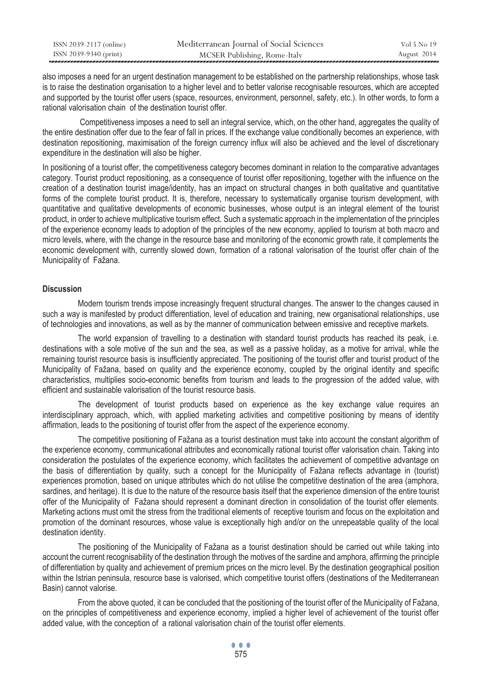| ISSN 2039-2117 (online) | Mediterranean Journal of Social Sciences | Vol 5 No 19 |
|-------------------------|------------------------------------------|-------------|
| ISSN 2039-9340 (print)  | MCSER Publishing, Rome-Italy             | August 2014 |

also imposes a need for an urgent destination management to be established on the partnership relationships, whose task is to raise the destination organisation to a higher level and to better valorise recognisable resources, which are accepted and supported by the tourist offer users (space, resources, environment, personnel, safety, etc.). In other words, to form a rational valorisation chain of the destination tourist offer.

 Competitiveness imposes a need to sell an integral service, which, on the other hand, aggregates the quality of the entire destination offer due to the fear of fall in prices. If the exchange value conditionally becomes an experience, with destination repositioning, maximisation of the foreign currency influx will also be achieved and the level of discretionary expenditure in the destination will also be higher.

In positioning of a tourist offer, the competitiveness category becomes dominant in relation to the comparative advantages category. Tourist product repositioning, as a consequence of tourist offer repositioning, together with the influence on the creation of a destination tourist image/identity, has an impact on structural changes in both qualitative and quantitative forms of the complete tourist product. It is, therefore, necessary to systematically organise tourism development, with quantitative and qualitative developments of economic businesses, whose output is an integral element of the tourist product, in order to achieve multiplicative tourism effect. Such a systematic approach in the implementation of the principles of the experience economy leads to adoption of the principles of the new economy, applied to tourism at both macro and micro levels, where, with the change in the resource base and monitoring of the economic growth rate, it complements the economic development with, currently slowed down, formation of a rational valorisation of the tourist offer chain of the Municipality of Fažana.

#### **Discussion**

Modern tourism trends impose increasingly frequent structural changes. The answer to the changes caused in such a way is manifested by product differentiation, level of education and training, new organisational relationships, use of technologies and innovations, as well as by the manner of communication between emissive and receptive markets.

The world expansion of travelling to a destination with standard tourist products has reached its peak, i.e. destinations with a sole motive of the sun and the sea, as well as a passive holiday, as a motive for arrival, while the remaining tourist resource basis is insufficiently appreciated. The positioning of the tourist offer and tourist product of the Municipality of Fažana, based on quality and the experience economy, coupled by the original identity and specific characteristics, multiplies socio-economic benefits from tourism and leads to the progression of the added value, with efficient and sustainable valorisation of the tourist resource basis.

The development of tourist products based on experience as the key exchange value requires an interdisciplinary approach, which, with applied marketing activities and competitive positioning by means of identity affirmation, leads to the positioning of tourist offer from the aspect of the experience economy.

The competitive positioning of Fažana as a tourist destination must take into account the constant algorithm of the experience economy, communicational attributes and economically rational tourist offer valorisation chain. Taking into consideration the postulates of the experience economy, which facilitates the achievement of competitive advantage on the basis of differentiation by quality, such a concept for the Municipality of Fažana reflects advantage in (tourist) experiences promotion, based on unique attributes which do not utilise the competitive destination of the area (amphora, sardines, and heritage). It is due to the nature of the resource basis itself that the experience dimension of the entire tourist offer of the Municipality of Fažana should represent a dominant direction in consolidation of the tourist offer elements. Marketing actions must omit the stress from the traditional elements of receptive tourism and focus on the exploitation and promotion of the dominant resources, whose value is exceptionally high and/or on the unrepeatable quality of the local destination identity.

The positioning of the Municipality of Fažana as a tourist destination should be carried out while taking into account the current recognisability of the destination through the motives of the sardine and amphora, affirming the principle of differentiation by quality and achievement of premium prices on the micro level. By the destination geographical position within the Istrian peninsula, resource base is valorised, which competitive tourist offers (destinations of the Mediterranean Basin) cannot valorise.

From the above quoted, it can be concluded that the positioning of the tourist offer of the Municipality of Fažana, on the principles of competitiveness and experience economy, implied a higher level of achievement of the tourist offer added value, with the conception of a rational valorisation chain of the tourist offer elements.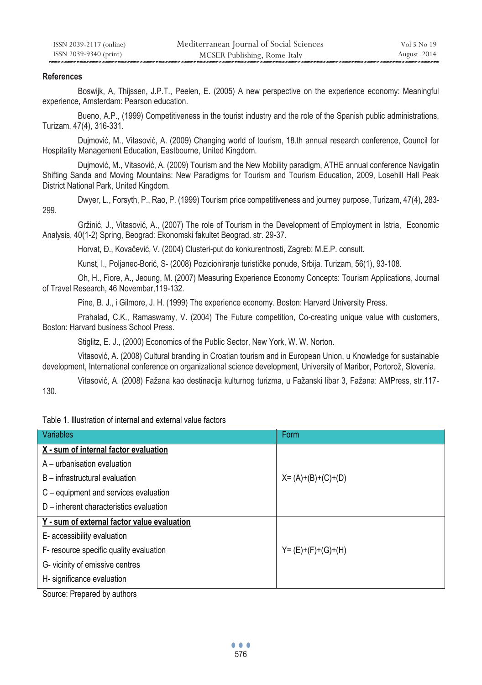### **References**

Boswijk, A, Thijssen, J.P.T., Peelen, E. (2005) A new perspective on the experience economy: Meaningful experience, Amsterdam: Pearson education.

Bueno, A.P., (1999) Competitiveness in the tourist industry and the role of the Spanish public administrations, Turizam, 47(4), 316-331.

Dujmović, M., Vitasović, A. (2009) Changing world of tourism, 18.th annual research conference, Council for Hospitality Management Education, Eastbourne, United Kingdom.

Dujmović, M., Vitasović, A. (2009) Tourism and the New Mobility paradigm, ATHE annual conference Navigatin Shifting Sanda and Moving Mountains: New Paradigms for Tourism and Tourism Education, 2009, Losehill Hall Peak District National Park, United Kingdom.

Dwyer, L., Forsyth, P., Rao, P. (1999) Tourism price competitiveness and journey purpose, Turizam, 47(4), 283- 299.

Gržinić, J., Vitasović, A., (2007) The role of Tourism in the Development of Employment in Istria, Economic Analysis, 40(1-2) Spring, Beograd: Ekonomski fakultet Beograd. str. 29-37.

Horvat, Đ., Kovačević, V. (2004) Clusteri-put do konkurentnosti, Zagreb: M.E.P. consult.

Kunst, I., Poljanec-Borić, S- (2008) Pozicioniranje turističke ponude, Srbija. Turizam, 56(1), 93-108.

Oh, H., Fiore, A., Jeoung, M. (2007) Measuring Experience Economy Concepts: Tourism Applications, Journal of Travel Research, 46 Novembar,119-132.

Pine, B. J., i Gilmore, J. H. (1999) The experience economy. Boston: Harvard University Press.

Prahalad, C.K., Ramaswamy, V. (2004) The Future competition, Co-creating unique value with customers, Boston: Harvard business School Press.

Stiglitz, E. J., (2000) Economics of the Public Sector, New York, W. W. Norton.

Vitasović, A. (2008) Cultural branding in Croatian tourism and in European Union, u Knowledge for sustainable development, International conference on organizational science development, University of Maribor, Portorož, Slovenia.

Vitasović, A. (2008) Fažana kao destinacija kulturnog turizma, u Fažanski libar 3, Fažana: AMPress, str.117- 130.

Table 1. Illustration of internal and external value factors

| Variables                                   | Form                  |
|---------------------------------------------|-----------------------|
| X - sum of internal factor evaluation       |                       |
| A – urbanisation evaluation                 |                       |
| B – infrastructural evaluation              | $X = (A)+(B)+(C)+(D)$ |
| C – equipment and services evaluation       |                       |
| D – inherent characteristics evaluation     |                       |
| Y - sum of external factor value evaluation |                       |
| E- accessibility evaluation                 |                       |
| F- resource specific quality evaluation     | $Y = (E)+(F)+(G)+(H)$ |
| G-vicinity of emissive centres              |                       |
| H- significance evaluation                  |                       |

Source: Prepared by authors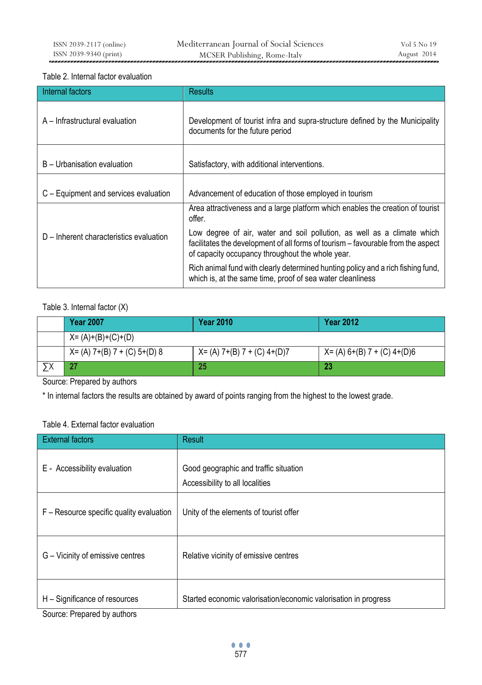### Table 2. Internal factor evaluation

| Internal factors                        | <b>Results</b>                                                                                                                                                                                                  |  |
|-----------------------------------------|-----------------------------------------------------------------------------------------------------------------------------------------------------------------------------------------------------------------|--|
| A – Infrastructural evaluation          | Development of tourist infra and supra-structure defined by the Municipality<br>documents for the future period                                                                                                 |  |
| B - Urbanisation evaluation             | Satisfactory, with additional interventions.                                                                                                                                                                    |  |
| C – Equipment and services evaluation   | Advancement of education of those employed in tourism                                                                                                                                                           |  |
|                                         | Area attractiveness and a large platform which enables the creation of tourist<br>offer.                                                                                                                        |  |
| D – Inherent characteristics evaluation | Low degree of air, water and soil pollution, as well as a climate which<br>facilitates the development of all forms of tourism - favourable from the aspect<br>of capacity occupancy throughout the whole year. |  |
|                                         | Rich animal fund with clearly determined hunting policy and a rich fishing fund,<br>which is, at the same time, proof of sea water cleanliness                                                                  |  |

## Table 3. Internal factor (X)

| <b>Year 2007</b>                | <b>Year 2010</b>            | <b>Year 2012</b>               |
|---------------------------------|-----------------------------|--------------------------------|
| $X = (A)+(B)+(C)+(D)$           |                             |                                |
| $X = (A) 7+(B) 7 + (C) 5+(D) 8$ | X= (A) 7+(B) 7 + (C) 4+(D)7 | $X = (A) 6+(B) 7 + (C) 4+(D)6$ |
| 27                              | 25                          | 23                             |

Source: Prepared by authors

\* In internal factors the results are obtained by award of points ranging from the highest to the lowest grade.

### Table 4. External factor evaluation

| <b>External factors</b>                  | Result                                                                   |
|------------------------------------------|--------------------------------------------------------------------------|
| E - Accessibility evaluation             | Good geographic and traffic situation<br>Accessibility to all localities |
| F – Resource specific quality evaluation | Unity of the elements of tourist offer                                   |
| G – Vicinity of emissive centres         | Relative vicinity of emissive centres                                    |
| H – Significance of resources            | Started economic valorisation/economic valorisation in progress          |

Source: Prepared by authors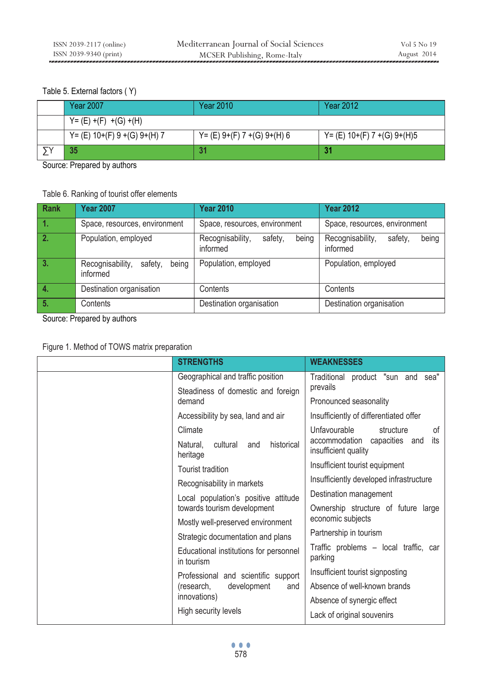### Table 5. External factors ( Y)

| <b>Year 2007</b>             | <b>Year 2010</b>              | <b>Year 2012</b>              |
|------------------------------|-------------------------------|-------------------------------|
| $Y = (E) + (F) + (G) + (H)$  |                               |                               |
| Y= (E) 10+(F) 9 +(G) 9+(H) 7 | $Y = (E) 9+(F) 7+(G) 9+(H) 6$ | $Y = (E) 10+(F) 7+(G) 9+(H)5$ |
| 35                           | 31                            |                               |

Source: Prepared by authors

## Table 6. Ranking of tourist offer elements

| <b>Rank</b> | <b>Year 2007</b>                                 | <b>Year 2010</b>                                 | <b>Year 2012</b>                                 |
|-------------|--------------------------------------------------|--------------------------------------------------|--------------------------------------------------|
| 1.          | Space, resources, environment                    | Space, resources, environment                    | Space, resources, environment                    |
| 2.          | Population, employed                             | Recognisability,<br>being<br>safety,<br>informed | Recognisability,<br>being<br>safety.<br>informed |
| 3.          | being<br>Recognisability,<br>safety,<br>informed | Population, employed                             | Population, employed                             |
| -4.         | Destination organisation                         | Contents                                         | Contents                                         |
| 5.          | Contents                                         | Destination organisation                         | Destination organisation                         |

Source: Prepared by authors

# Figure 1. Method of TOWS matrix preparation

| <b>STRENGTHS</b>                                      | <b>WEAKNESSES</b>                                              |
|-------------------------------------------------------|----------------------------------------------------------------|
| Geographical and traffic position                     | Traditional product "sun and sea"                              |
| Steadiness of domestic and foreign<br>demand          | prevails<br>Pronounced seasonality                             |
| Accessibility by sea, land and air                    | Insufficiently of differentiated offer                         |
| Climate                                               | Unfavourable<br>structure<br>of                                |
| cultural<br>historical<br>Natural,<br>and<br>heritage | accommodation<br>capacities and<br>its<br>insufficient quality |
| Tourist tradition                                     | Insufficient tourist equipment                                 |
| Recognisability in markets                            | Insufficiently developed infrastructure                        |
| Local population's positive attitude                  | Destination management                                         |
| towards tourism development                           | Ownership structure of future large                            |
| Mostly well-preserved environment                     | economic subjects                                              |
| Strategic documentation and plans                     | Partnership in tourism                                         |
| Educational institutions for personnel<br>in tourism  | Traffic problems - local traffic, car<br>parking               |
| Professional and scientific support                   | Insufficient tourist signposting                               |
| (research,<br>development<br>and                      | Absence of well-known brands                                   |
| innovations)                                          | Absence of synergic effect                                     |
| High security levels                                  | Lack of original souvenirs                                     |